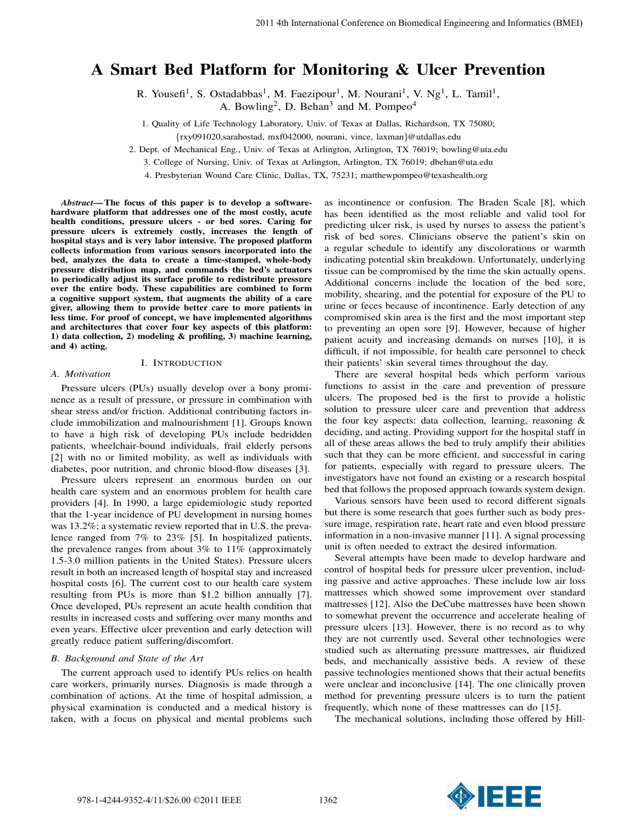# **A Smart Bed Platform for Monitoring & Ulcer Prevention**

R. Yousefi<sup>1</sup>, S. Ostadabbas<sup>1</sup>, M. Faezipour<sup>1</sup>, M. Nourani<sup>1</sup>, V. Ng<sup>1</sup>, L. Tamil<sup>1</sup>,

A. Bowling<sup>2</sup>, D. Behan<sup>3</sup> and M. Pompeo<sup>4</sup>

1. Quality of Life Technology Laboratory, Univ. of Texas at Dallas, Richardson, TX 75080;

{rxy091020,sarahostad, mxf042000, nourani, vince, laxman}@utdallas.edu

2. Dept. of Mechanical Eng., Univ. of Texas at Arlington, Arlington, TX 76019; bowling@uta.edu

3. College of Nursing, Univ. of Texas at Arlington, Arlington, TX 76019; dbehan@uta.edu

4. Presbyterian Wound Care Clinic, Dallas, TX, 75231; matthewpompeo@texashealth.org

*Abstract***— The focus of this paper is to develop a softwarehardware platform that addresses one of the most costly, acute health conditions, pressure ulcers - or bed sores. Caring for pressure ulcers is extremely costly, increases the length of hospital stays and is very labor intensive. The proposed platform collects information from various sensors incorporated into the bed, analyzes the data to create a time-stamped, whole-body pressure distribution map, and commands the bed's actuators to periodically adjust its surface profile to redistribute pressure over the entire body. These capabilities are combined to form a cognitive support system, that augments the ability of a care giver, allowing them to provide better care to more patients in less time. For proof of concept, we have implemented algorithms and architectures that cover four key aspects of this platform: 1) data collection, 2) modeling & profiling, 3) machine learning, and 4) acting.**

## I. INTRODUCTION

#### *A. Motivation*

Pressure ulcers (PUs) usually develop over a bony prominence as a result of pressure, or pressure in combination with shear stress and/or friction. Additional contributing factors include immobilization and malnourishment [1]. Groups known to have a high risk of developing PUs include bedridden patients, wheelchair-bound individuals, frail elderly persons [2] with no or limited mobility, as well as individuals with diabetes, poor nutrition, and chronic blood-flow diseases [3].

Pressure ulcers represent an enormous burden on our health care system and an enormous problem for health care providers [4]. In 1990, a large epidemiologic study reported that the 1-year incidence of PU development in nursing homes was 13.2%; a systematic review reported that in U.S. the prevalence ranged from 7% to 23% [5]. In hospitalized patients, the prevalence ranges from about 3% to 11% (approximately 1.5-3.0 million patients in the United States). Pressure ulcers result in both an increased length of hospital stay and increased hospital costs [6]. The current cost to our health care system resulting from PUs is more than \$1.2 billion annually [7]. Once developed, PUs represent an acute health condition that results in increased costs and suffering over many months and even years. Effective ulcer prevention and early detection will greatly reduce patient suffering/discomfort.

## *B. Background and State of the Art*

The current approach used to identify PUs relies on health care workers, primarily nurses. Diagnosis is made through a combination of actions. At the time of hospital admission, a physical examination is conducted and a medical history is taken, with a focus on physical and mental problems such

as incontinence or confusion. The Braden Scale [8], which has been identified as the most reliable and valid tool for predicting ulcer risk, is used by nurses to assess the patient's risk of bed sores. Clinicians observe the patient's skin on a regular schedule to identify any discolorations or warmth indicating potential skin breakdown. Unfortunately, underlying tissue can be compromised by the time the skin actually opens. Additional concerns include the location of the bed sore, mobility, shearing, and the potential for exposure of the PU to urine or feces because of incontinence. Early detection of any compromised skin area is the first and the most important step to preventing an open sore [9]. However, because of higher patient acuity and increasing demands on nurses [10], it is difficult, if not impossible, for health care personnel to check their patients' skin several times throughout the day.

There are several hospital beds which perform various functions to assist in the care and prevention of pressure ulcers. The proposed bed is the first to provide a holistic solution to pressure ulcer care and prevention that address the four key aspects: data collection, learning, reasoning & deciding, and acting. Providing support for the hospital staff in all of these areas allows the bed to truly amplify their abilities such that they can be more efficient, and successful in caring for patients, especially with regard to pressure ulcers. The investigators have not found an existing or a research hospital bed that follows the proposed approach towards system design.

Various sensors have been used to record different signals but there is some research that goes further such as body pressure image, respiration rate, heart rate and even blood pressure information in a non-invasive manner [11]. A signal processing unit is often needed to extract the desired information.

Several attempts have been made to develop hardware and control of hospital beds for pressure ulcer prevention, including passive and active approaches. These include low air loss mattresses which showed some improvement over standard mattresses [12]. Also the DeCube mattresses have been shown to somewhat prevent the occurrence and accelerate healing of pressure ulcers [13]. However, there is no record as to why they are not currently used. Several other technologies were studied such as alternating pressure mattresses, air fluidized beds, and mechanically assistive beds. A review of these passive technologies mentioned shows that their actual benefits were unclear and inconclusive [14]. The one clinically proven method for preventing pressure ulcers is to turn the patient frequently, which none of these mattresses can do [15].

The mechanical solutions, including those offered by Hill-

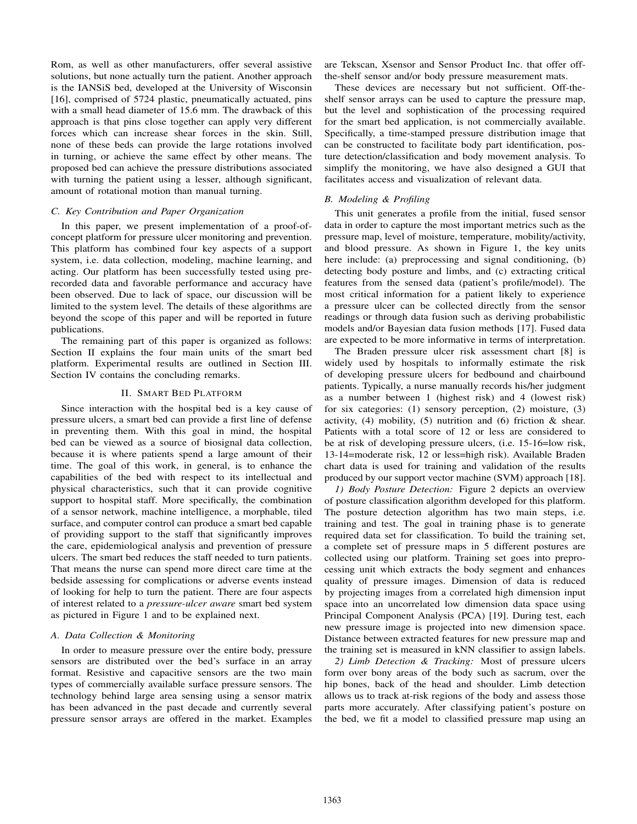Rom, as well as other manufacturers, offer several assistive solutions, but none actually turn the patient. Another approach is the IANSiS bed, developed at the University of Wisconsin [16], comprised of 5724 plastic, pneumatically actuated, pins with a small head diameter of 15.6 mm. The drawback of this approach is that pins close together can apply very different forces which can increase shear forces in the skin. Still, none of these beds can provide the large rotations involved in turning, or achieve the same effect by other means. The proposed bed can achieve the pressure distributions associated with turning the patient using a lesser, although significant, amount of rotational motion than manual turning.

## *C. Key Contribution and Paper Organization*

In this paper, we present implementation of a proof-ofconcept platform for pressure ulcer monitoring and prevention. This platform has combined four key aspects of a support system, i.e. data collection, modeling, machine learning, and acting. Our platform has been successfully tested using prerecorded data and favorable performance and accuracy have been observed. Due to lack of space, our discussion will be limited to the system level. The details of these algorithms are beyond the scope of this paper and will be reported in future publications.

The remaining part of this paper is organized as follows: Section II explains the four main units of the smart bed platform. Experimental results are outlined in Section III. Section IV contains the concluding remarks.

## II. SMART BED PLATFORM

Since interaction with the hospital bed is a key cause of pressure ulcers, a smart bed can provide a first line of defense in preventing them. With this goal in mind, the hospital bed can be viewed as a source of biosignal data collection, because it is where patients spend a large amount of their time. The goal of this work, in general, is to enhance the capabilities of the bed with respect to its intellectual and physical characteristics, such that it can provide cognitive support to hospital staff. More specifically, the combination of a sensor network, machine intelligence, a morphable, tiled surface, and computer control can produce a smart bed capable of providing support to the staff that significantly improves the care, epidemiological analysis and prevention of pressure ulcers. The smart bed reduces the staff needed to turn patients. That means the nurse can spend more direct care time at the bedside assessing for complications or adverse events instead of looking for help to turn the patient. There are four aspects of interest related to a *pressure-ulcer aware* smart bed system as pictured in Figure 1 and to be explained next.

## *A. Data Collection & Monitoring*

In order to measure pressure over the entire body, pressure sensors are distributed over the bed's surface in an array format. Resistive and capacitive sensors are the two main types of commercially available surface pressure sensors. The technology behind large area sensing using a sensor matrix has been advanced in the past decade and currently several pressure sensor arrays are offered in the market. Examples

are Tekscan, Xsensor and Sensor Product Inc. that offer offthe-shelf sensor and/or body pressure measurement mats.

These devices are necessary but not sufficient. Off-theshelf sensor arrays can be used to capture the pressure map, but the level and sophistication of the processing required for the smart bed application, is not commercially available. Specifically, a time-stamped pressure distribution image that can be constructed to facilitate body part identification, posture detection/classification and body movement analysis. To simplify the monitoring, we have also designed a GUI that facilitates access and visualization of relevant data.

## *B. Modeling & Profiling*

This unit generates a profile from the initial, fused sensor data in order to capture the most important metrics such as the pressure map, level of moisture, temperature, mobility/activity, and blood pressure. As shown in Figure 1, the key units here include: (a) preprocessing and signal conditioning, (b) detecting body posture and limbs, and (c) extracting critical features from the sensed data (patient's profile/model). The most critical information for a patient likely to experience a pressure ulcer can be collected directly from the sensor readings or through data fusion such as deriving probabilistic models and/or Bayesian data fusion methods [17]. Fused data are expected to be more informative in terms of interpretation.

The Braden pressure ulcer risk assessment chart [8] is widely used by hospitals to informally estimate the risk of developing pressure ulcers for bedbound and chairbound patients. Typically, a nurse manually records his/her judgment as a number between 1 (highest risk) and 4 (lowest risk) for six categories: (1) sensory perception, (2) moisture, (3) activity, (4) mobility, (5) nutrition and (6) friction  $\&$  shear. Patients with a total score of 12 or less are considered to be at risk of developing pressure ulcers, (i.e. 15-16=low risk, 13-14=moderate risk, 12 or less=high risk). Available Braden chart data is used for training and validation of the results produced by our support vector machine (SVM) approach [18].

*1) Body Posture Detection:* Figure 2 depicts an overview of posture classification algorithm developed for this platform. The posture detection algorithm has two main steps, i.e. training and test. The goal in training phase is to generate required data set for classification. To build the training set, a complete set of pressure maps in 5 different postures are collected using our platform. Training set goes into preprocessing unit which extracts the body segment and enhances quality of pressure images. Dimension of data is reduced by projecting images from a correlated high dimension input space into an uncorrelated low dimension data space using Principal Component Analysis (PCA) [19]. During test, each new pressure image is projected into new dimension space. Distance between extracted features for new pressure map and the training set is measured in kNN classifier to assign labels.

*2) Limb Detection & Tracking:* Most of pressure ulcers form over bony areas of the body such as sacrum, over the hip bones, back of the head and shoulder. Limb detection allows us to track at-risk regions of the body and assess those parts more accurately. After classifying patient's posture on the bed, we fit a model to classified pressure map using an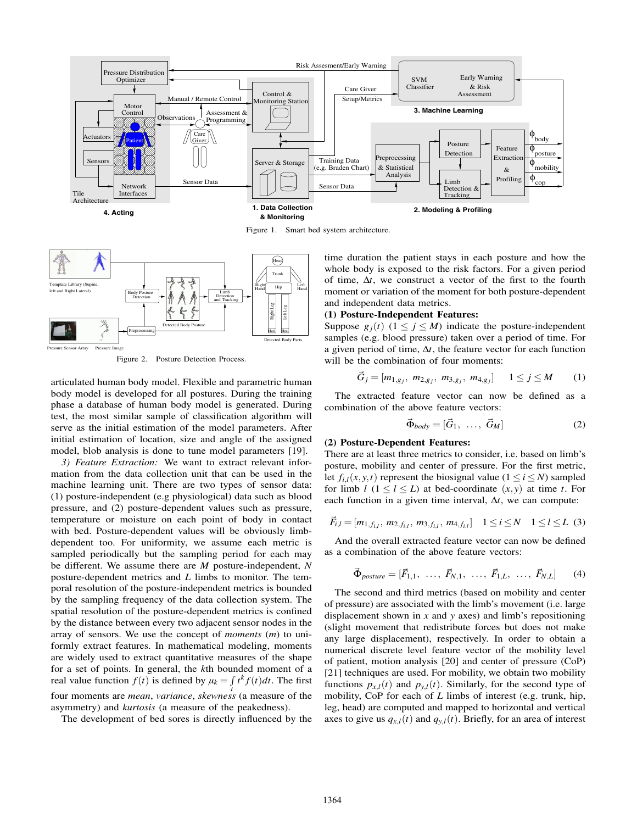

Figure 1. Smart bed system architecture.



Figure 2. Posture Detection Process.

articulated human body model. Flexible and parametric human body model is developed for all postures. During the training phase a database of human body model is generated. During test, the most similar sample of classification algorithm will serve as the initial estimation of the model parameters. After initial estimation of location, size and angle of the assigned model, blob analysis is done to tune model parameters [19].

*3) Feature Extraction:* We want to extract relevant information from the data collection unit that can be used in the machine learning unit. There are two types of sensor data: (1) posture-independent (e.g physiological) data such as blood pressure, and (2) posture-dependent values such as pressure, temperature or moisture on each point of body in contact with bed. Posture-dependent values will be obviously limbdependent too. For uniformity, we assume each metric is sampled periodically but the sampling period for each may be different. We assume there are *M* posture-independent, *N* posture-dependent metrics and *L* limbs to monitor. The temporal resolution of the posture-independent metrics is bounded by the sampling frequency of the data collection system. The spatial resolution of the posture-dependent metrics is confined by the distance between every two adjacent sensor nodes in the array of sensors. We use the concept of *moments* (*m*) to uniformly extract features. In mathematical modeling, moments are widely used to extract quantitative measures of the shape for a set of points. In general, the *k*th bounded moment of a real value function  $f(t)$  is defined by  $\mu_k = \int t^k f(t) dt$ . The first *t* four moments are *mean*, *variance*, *skewness* (a measure of the asymmetry) and *kurtosis* (a measure of the peakedness).

The development of bed sores is directly influenced by the

time duration the patient stays in each posture and how the whole body is exposed to the risk factors. For a given period of time,  $\Delta t$ , we construct a vector of the first to the fourth moment or variation of the moment for both posture-dependent and independent data metrics.

#### **(1) Posture-Independent Features:**

Suppose  $g_i(t)$  ( $1 \leq j \leq M$ ) indicate the posture-independent samples (e.g. blood pressure) taken over a period of time. For a given period of time, Δ*t*, the feature vector for each function will be the combination of four moments:

$$
\vec{G}_j = [m_{1,g_j}, m_{2,g_j}, m_{3,g_j}, m_{4,g_j}] \quad 1 \le j \le M \qquad (1)
$$

The extracted feature vector can now be defined as a combination of the above feature vectors:

$$
\vec{\Phi}_{body} = [\vec{G}_1, \ \ldots, \ \vec{G}_M] \tag{2}
$$

#### **(2) Posture-Dependent Features:**

There are at least three metrics to consider, i.e. based on limb's posture, mobility and center of pressure. For the first metric, let  $f_{i,l}(x, y, t)$  represent the biosignal value  $(1 \le i \le N)$  sampled for limb  $l$  ( $1 \le l \le L$ ) at bed-coordinate  $(x, y)$  at time *t*. For each function in a given time interval,  $\Delta t$ , we can compute:

$$
\vec{F}_{i,l} = [m_{1,f_{i,l}}, m_{2,f_{i,l}}, m_{3,f_{i,l}}, m_{4,f_{i,l}}] \quad 1 \le i \le N \quad 1 \le l \le L \tag{3}
$$

And the overall extracted feature vector can now be defined as a combination of the above feature vectors:

$$
\vec{\Phi}_{\text{posture}} = [\vec{F}_{1,1}, \ \dots, \ \vec{F}_{N,1}, \ \dots, \ \vec{F}_{1,L}, \ \dots, \ \vec{F}_{N,L}] \tag{4}
$$

The second and third metrics (based on mobility and center of pressure) are associated with the limb's movement (i.e. large displacement shown in *x* and *y* axes) and limb's repositioning (slight movement that redistribute forces but does not make any large displacement), respectively. In order to obtain a numerical discrete level feature vector of the mobility level of patient, motion analysis [20] and center of pressure (CoP) [21] techniques are used. For mobility, we obtain two mobility functions  $p_{x,l}(t)$  and  $p_{y,l}(t)$ . Similarly, for the second type of mobility, CoP for each of *L* limbs of interest (e.g. trunk, hip, leg, head) are computed and mapped to horizontal and vertical axes to give us  $q_{x,l}(t)$  and  $q_{y,l}(t)$ . Briefly, for an area of interest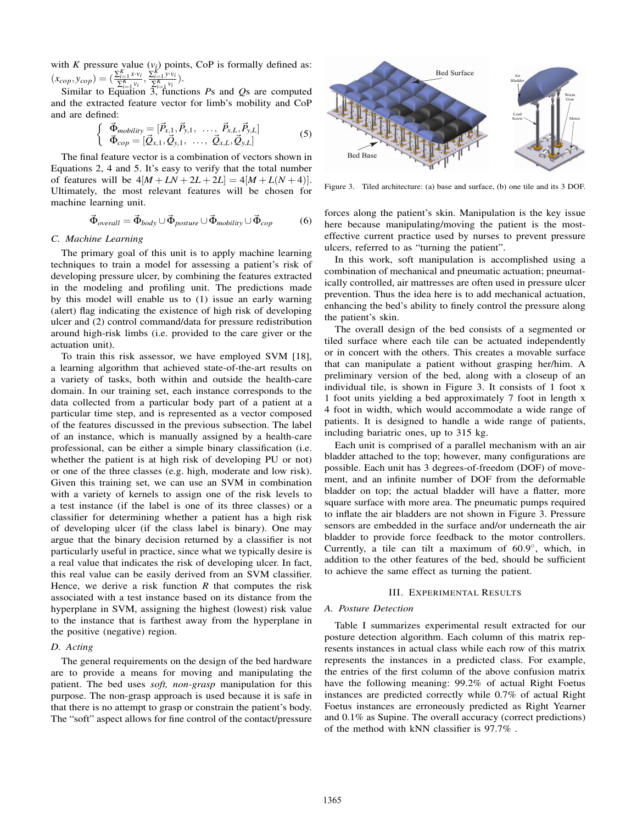with *K* pressure value  $(v_i)$  points, CoP is formally defined as:  $(x_{cop}, y_{cop}) = (\frac{\sum_{i=1}^{K} x_i y_i}{\sum_{i=1}^{K} y_i}, \frac{\sum_{i=1}^{K} y_i y_i}{\sum_{i=1}^{K} y_i}).$ <br>Similar to Equation 3, functions *Ps* and *Qs* are computed

and the extracted feature vector for limb's mobility and CoP and are defined:

$$
\begin{cases}\n\vec{\Phi}_{mobility} = [\vec{P}_{x,1}, \vec{P}_{y,1}, \dots, \vec{P}_{x,L}, \vec{P}_{y,L}] \\
\vec{\Phi}_{cop} = [\vec{Q}_{x,1}, \vec{Q}_{y,1}, \dots, \vec{Q}_{x,L}, \vec{Q}_{y,L}]\n\end{cases}
$$
\n(5)

The final feature vector is a combination of vectors shown in Equations 2, 4 and 5. It's easy to verify that the total number of features will be  $4[M + LN + 2L + 2L] = 4[M + L(N + 4)].$ Ultimately, the most relevant features will be chosen for machine learning unit.

$$
\vec{\Phi}_{overall} = \vec{\Phi}_{body} \cup \vec{\Phi}_{posture} \cup \vec{\Phi}_{mobility} \cup \vec{\Phi}_{cop}
$$
 (6)

# *C. Machine Learning*

The primary goal of this unit is to apply machine learning techniques to train a model for assessing a patient's risk of developing pressure ulcer, by combining the features extracted in the modeling and profiling unit. The predictions made by this model will enable us to (1) issue an early warning (alert) flag indicating the existence of high risk of developing ulcer and (2) control command/data for pressure redistribution around high-risk limbs (i.e. provided to the care giver or the actuation unit).

To train this risk assessor, we have employed SVM [18], a learning algorithm that achieved state-of-the-art results on a variety of tasks, both within and outside the health-care domain. In our training set, each instance corresponds to the data collected from a particular body part of a patient at a particular time step, and is represented as a vector composed of the features discussed in the previous subsection. The label of an instance, which is manually assigned by a health-care professional, can be either a simple binary classification (i.e. whether the patient is at high risk of developing PU or not) or one of the three classes (e.g. high, moderate and low risk). Given this training set, we can use an SVM in combination with a variety of kernels to assign one of the risk levels to a test instance (if the label is one of its three classes) or a classifier for determining whether a patient has a high risk of developing ulcer (if the class label is binary). One may argue that the binary decision returned by a classifier is not particularly useful in practice, since what we typically desire is a real value that indicates the risk of developing ulcer. In fact, this real value can be easily derived from an SVM classifier. Hence, we derive a risk function  $R$  that computes the risk associated with a test instance based on its distance from the hyperplane in SVM, assigning the highest (lowest) risk value to the instance that is farthest away from the hyperplane in the positive (negative) region.

## *D. Acting*

The general requirements on the design of the bed hardware are to provide a means for moving and manipulating the patient. The bed uses *soft, non-grasp* manipulation for this purpose. The non-grasp approach is used because it is safe in that there is no attempt to grasp or constrain the patient's body. The "soft" aspect allows for fine control of the contact/pressure



Figure 3. Tiled architecture: (a) base and surface, (b) one tile and its 3 DOF.

forces along the patient's skin. Manipulation is the key issue here because manipulating/moving the patient is the mosteffective current practice used by nurses to prevent pressure ulcers, referred to as "turning the patient".

In this work, soft manipulation is accomplished using a combination of mechanical and pneumatic actuation; pneumatically controlled, air mattresses are often used in pressure ulcer prevention. Thus the idea here is to add mechanical actuation, enhancing the bed's ability to finely control the pressure along the patient's skin.

The overall design of the bed consists of a segmented or tiled surface where each tile can be actuated independently or in concert with the others. This creates a movable surface that can manipulate a patient without grasping her/him. A preliminary version of the bed, along with a closeup of an individual tile, is shown in Figure 3. It consists of 1 foot x 1 foot units yielding a bed approximately 7 foot in length x 4 foot in width, which would accommodate a wide range of patients. It is designed to handle a wide range of patients, including bariatric ones, up to 315 kg.

Each unit is comprised of a parallel mechanism with an air bladder attached to the top; however, many configurations are possible. Each unit has 3 degrees-of-freedom (DOF) of movement, and an infinite number of DOF from the deformable bladder on top; the actual bladder will have a flatter, more square surface with more area. The pneumatic pumps required to inflate the air bladders are not shown in Figure 3. Pressure sensors are embedded in the surface and/or underneath the air bladder to provide force feedback to the motor controllers. Currently, a tile can tilt a maximum of 60.9∘, which, in addition to the other features of the bed, should be sufficient to achieve the same effect as turning the patient.

#### III. EXPERIMENTAL RESULTS

#### *A. Posture Detection*

Table I summarizes experimental result extracted for our posture detection algorithm. Each column of this matrix represents instances in actual class while each row of this matrix represents the instances in a predicted class. For example, the entries of the first column of the above confusion matrix have the following meaning: 99.2% of actual Right Foetus instances are predicted correctly while 0.7% of actual Right Foetus instances are erroneously predicted as Right Yearner and 0.1% as Supine. The overall accuracy (correct predictions) of the method with kNN classifier is 97.7% .